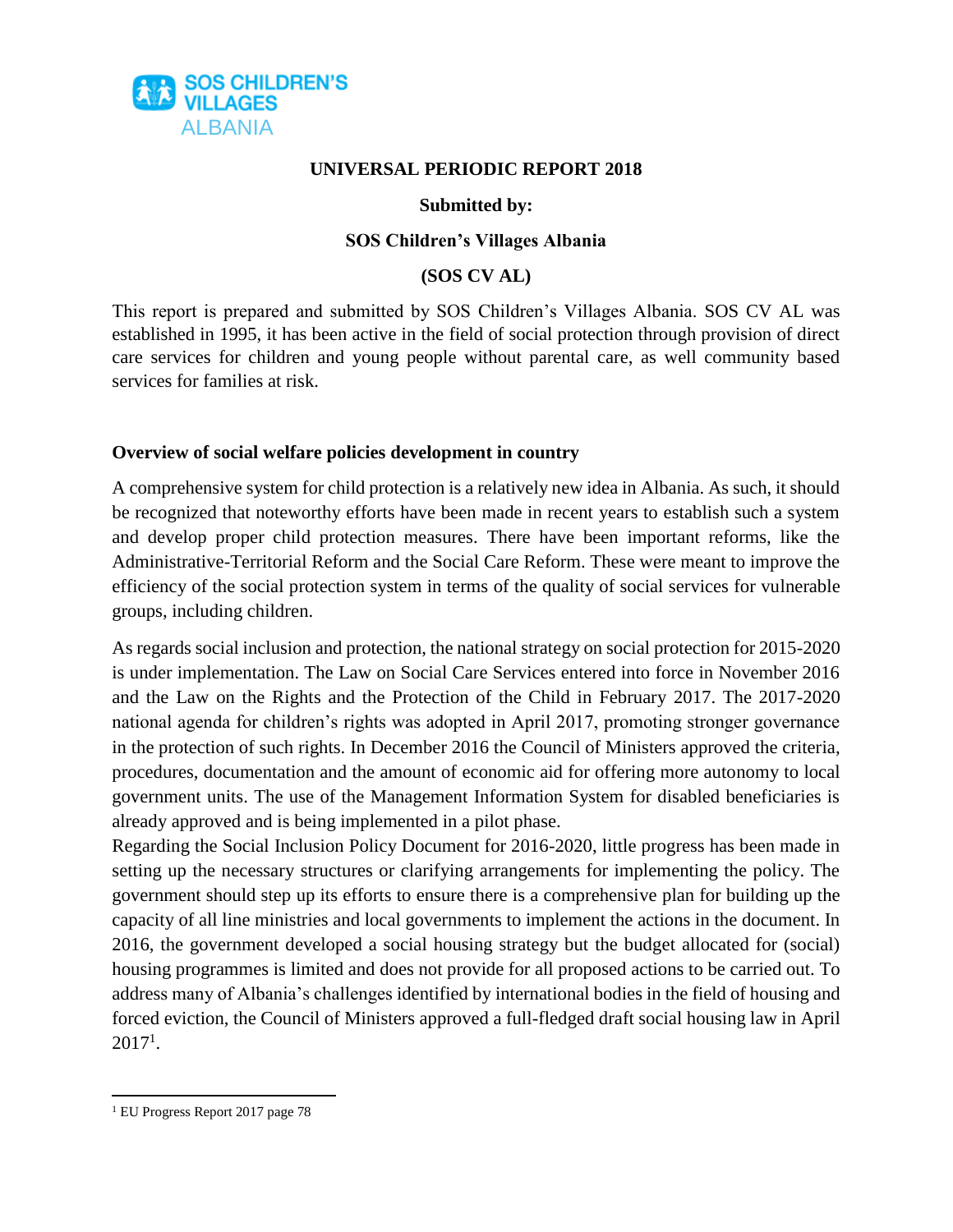

#### **UNIVERSAL PERIODIC REPORT 2018**

### **Submitted by:**

#### **SOS Children's Villages Albania**

#### **(SOS CV AL)**

This report is prepared and submitted by SOS Children's Villages Albania. SOS CV AL was established in 1995, it has been active in the field of social protection through provision of direct care services for children and young people without parental care, as well community based services for families at risk.

### **Overview of social welfare policies development in country**

A comprehensive system for child protection is a relatively new idea in Albania. As such, it should be recognized that noteworthy efforts have been made in recent years to establish such a system and develop proper child protection measures. There have been important reforms, like the Administrative-Territorial Reform and the Social Care Reform. These were meant to improve the efficiency of the social protection system in terms of the quality of social services for vulnerable groups, including children.

As regards social inclusion and protection, the national strategy on social protection for 2015-2020 is under implementation. The Law on Social Care Services entered into force in November 2016 and the Law on the Rights and the Protection of the Child in February 2017. The 2017-2020 national agenda for children's rights was adopted in April 2017, promoting stronger governance in the protection of such rights. In December 2016 the Council of Ministers approved the criteria, procedures, documentation and the amount of economic aid for offering more autonomy to local government units. The use of the Management Information System for disabled beneficiaries is already approved and is being implemented in a pilot phase.

Regarding the Social Inclusion Policy Document for 2016-2020, little progress has been made in setting up the necessary structures or clarifying arrangements for implementing the policy. The government should step up its efforts to ensure there is a comprehensive plan for building up the capacity of all line ministries and local governments to implement the actions in the document. In 2016, the government developed a social housing strategy but the budget allocated for (social) housing programmes is limited and does not provide for all proposed actions to be carried out. To address many of Albania's challenges identified by international bodies in the field of housing and forced eviction, the Council of Ministers approved a full-fledged draft social housing law in April  $2017<sup>1</sup>$ .

 $\overline{a}$ <sup>1</sup> EU Progress Report 2017 page 78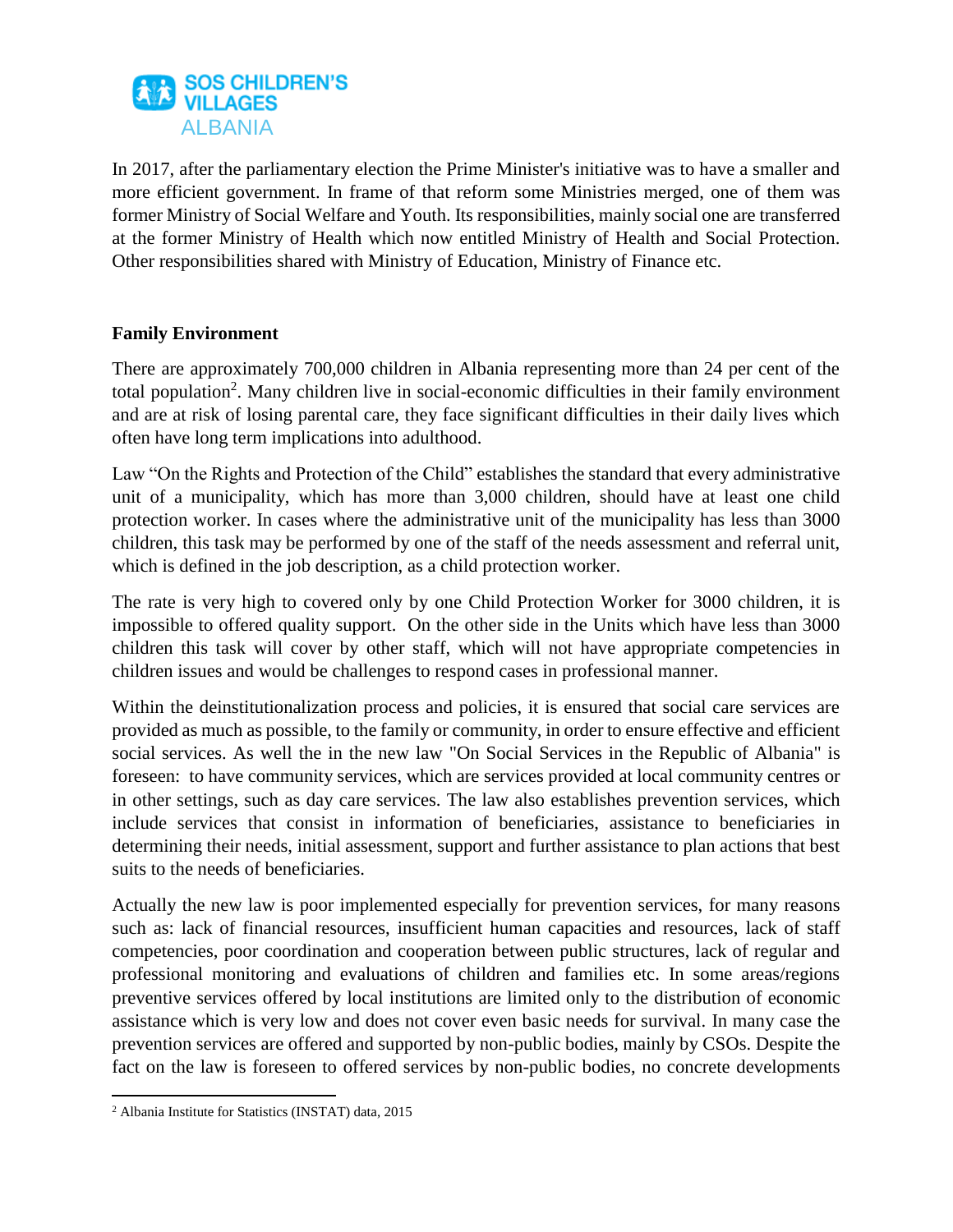

In 2017, after the parliamentary election the Prime Minister's initiative was to have a smaller and more efficient government. In frame of that reform some Ministries merged, one of them was former Ministry of Social Welfare and Youth. Its responsibilities, mainly social one are transferred at the former Ministry of Health which now entitled Ministry of Health and Social Protection. Other responsibilities shared with Ministry of Education, Ministry of Finance etc.

# **Family Environment**

There are approximately 700,000 children in Albania representing more than 24 per cent of the total population<sup>2</sup>. Many children live in social-economic difficulties in their family environment and are at risk of losing parental care, they face significant difficulties in their daily lives which often have long term implications into adulthood.

Law "On the Rights and Protection of the Child" establishes the standard that every administrative unit of a municipality, which has more than 3,000 children, should have at least one child protection worker. In cases where the administrative unit of the municipality has less than 3000 children, this task may be performed by one of the staff of the needs assessment and referral unit, which is defined in the job description, as a child protection worker.

The rate is very high to covered only by one Child Protection Worker for 3000 children, it is impossible to offered quality support. On the other side in the Units which have less than 3000 children this task will cover by other staff, which will not have appropriate competencies in children issues and would be challenges to respond cases in professional manner.

Within the deinstitutionalization process and policies, it is ensured that social care services are provided as much as possible, to the family or community, in order to ensure effective and efficient social services. As well the in the new law "On Social Services in the Republic of Albania" is foreseen: to have community services, which are services provided at local community centres or in other settings, such as day care services. The law also establishes prevention services, which include services that consist in information of beneficiaries, assistance to beneficiaries in determining their needs, initial assessment, support and further assistance to plan actions that best suits to the needs of beneficiaries.

Actually the new law is poor implemented especially for prevention services, for many reasons such as: lack of financial resources, insufficient human capacities and resources, lack of staff competencies, poor coordination and cooperation between public structures, lack of regular and professional monitoring and evaluations of children and families etc. In some areas/regions preventive services offered by local institutions are limited only to the distribution of economic assistance which is very low and does not cover even basic needs for survival. In many case the prevention services are offered and supported by non-public bodies, mainly by CSOs. Despite the fact on the law is foreseen to offered services by non-public bodies, no concrete developments

 $\overline{a}$ <sup>2</sup> Albania Institute for Statistics (INSTAT) data, 2015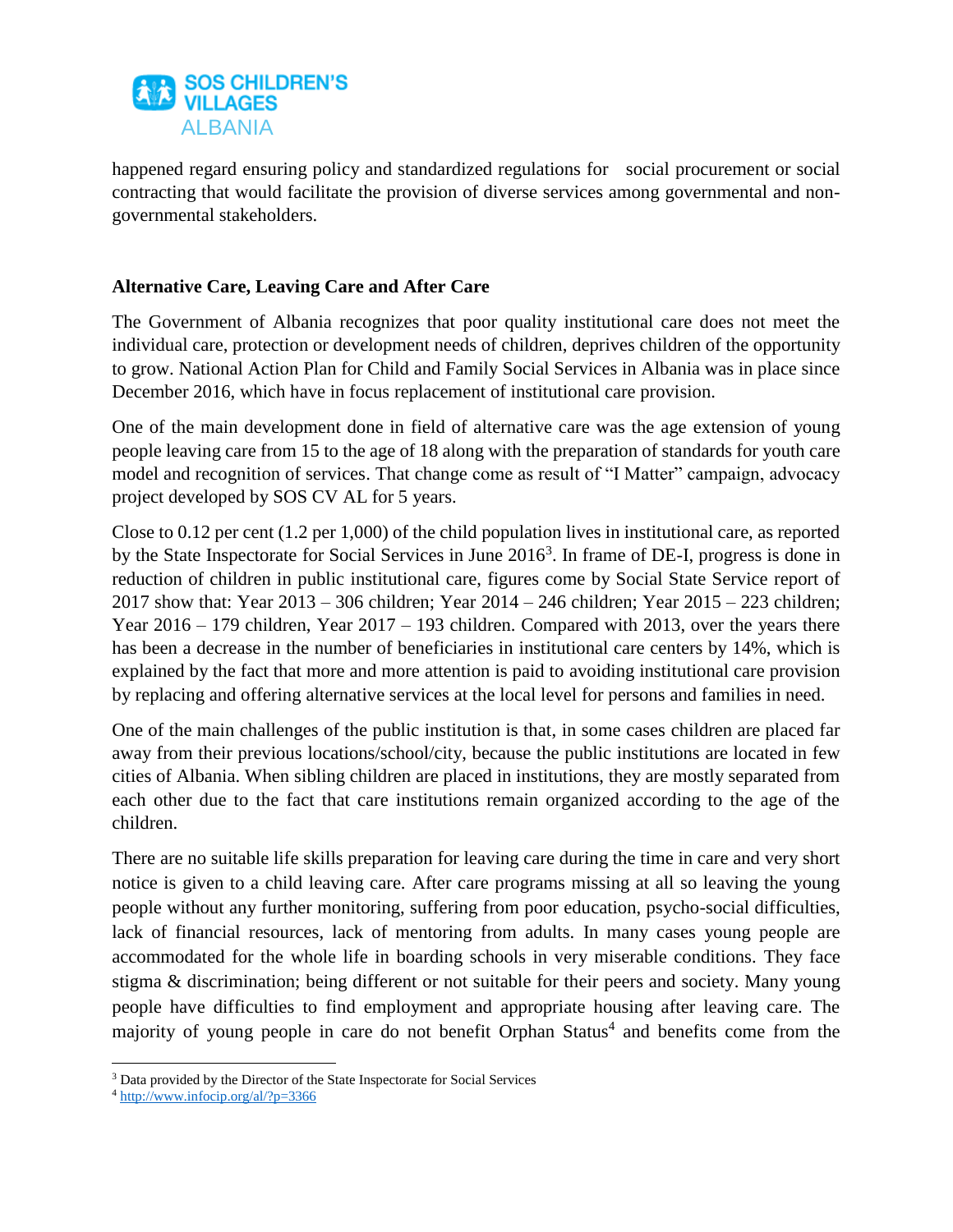

happened regard ensuring policy and standardized regulations for social procurement or social contracting that would facilitate the provision of diverse services among governmental and nongovernmental stakeholders.

# **Alternative Care, Leaving Care and After Care**

The Government of Albania recognizes that poor quality institutional care does not meet the individual care, protection or development needs of children, deprives children of the opportunity to grow. National Action Plan for Child and Family Social Services in Albania was in place since December 2016, which have in focus replacement of institutional care provision.

One of the main development done in field of alternative care was the age extension of young people leaving care from 15 to the age of 18 along with the preparation of standards for youth care model and recognition of services. That change come as result of "I Matter" campaign, advocacy project developed by SOS CV AL for 5 years.

Close to 0.12 per cent (1.2 per 1,000) of the child population lives in institutional care, as reported by the State Inspectorate for Social Services in June 2016<sup>3</sup>. In frame of DE-I, progress is done in reduction of children in public institutional care, figures come by Social State Service report of 2017 show that: Year 2013 – 306 children; Year 2014 – 246 children; Year 2015 – 223 children; Year 2016 – 179 children, Year 2017 – 193 children. Compared with 2013, over the years there has been a decrease in the number of beneficiaries in institutional care centers by 14%, which is explained by the fact that more and more attention is paid to avoiding institutional care provision by replacing and offering alternative services at the local level for persons and families in need.

One of the main challenges of the public institution is that, in some cases children are placed far away from their previous locations/school/city, because the public institutions are located in few cities of Albania. When sibling children are placed in institutions, they are mostly separated from each other due to the fact that care institutions remain organized according to the age of the children.

There are no suitable life skills preparation for leaving care during the time in care and very short notice is given to a child leaving care. After care programs missing at all so leaving the young people without any further monitoring, suffering from poor education, psycho-social difficulties, lack of financial resources, lack of mentoring from adults. In many cases young people are accommodated for the whole life in boarding schools in very miserable conditions. They face stigma & discrimination; being different or not suitable for their peers and society. Many young people have difficulties to find employment and appropriate housing after leaving care. The majority of young people in care do not benefit Orphan Status<sup>4</sup> and benefits come from the

 $\overline{\phantom{a}}$ <sup>3</sup> Data provided by the Director of the State Inspectorate for Social Services

<sup>4</sup> <http://www.infocip.org/al/?p=3366>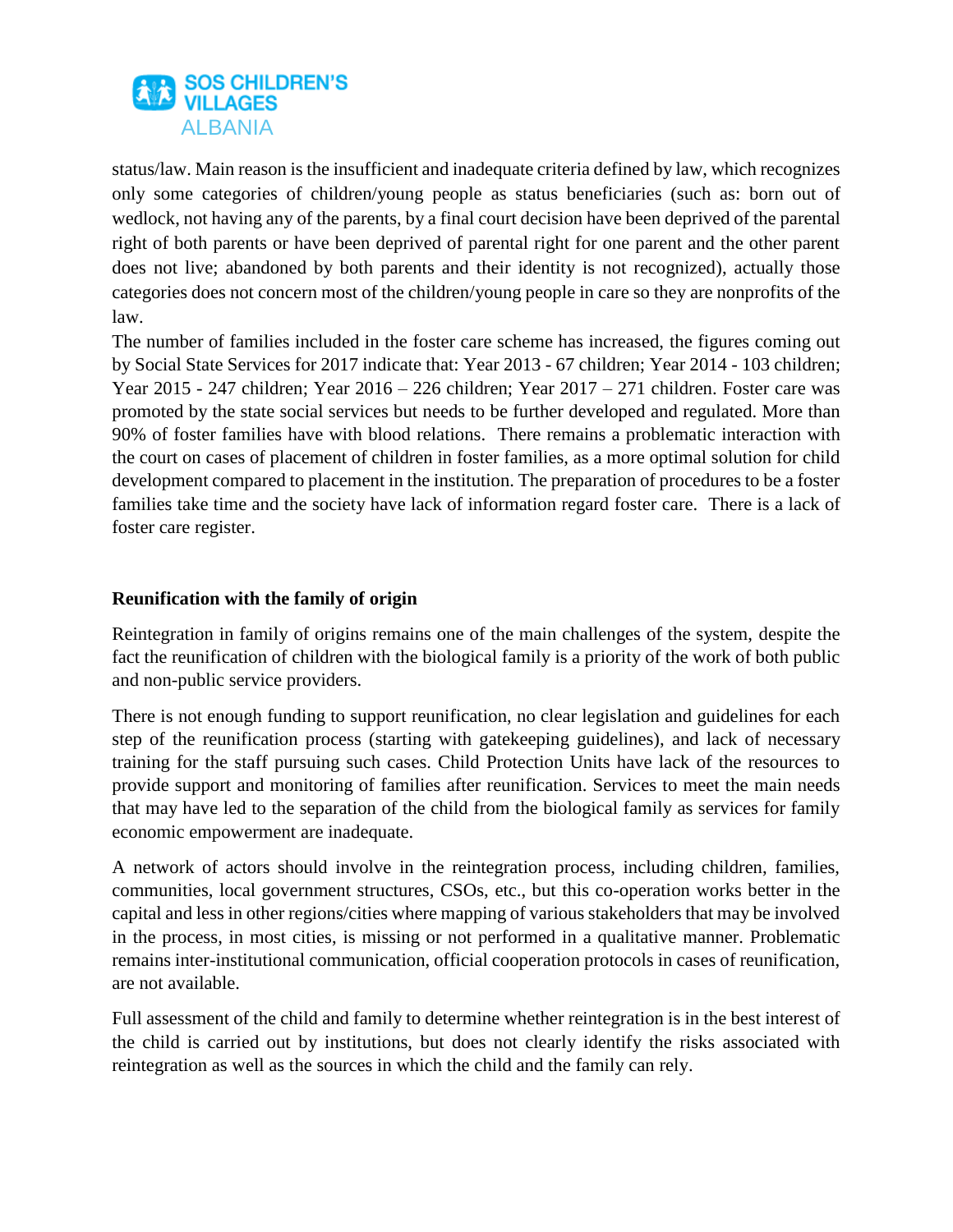

status/law. Main reason is the insufficient and inadequate criteria defined by law, which recognizes only some categories of children/young people as status beneficiaries (such as: born out of wedlock, not having any of the parents, by a final court decision have been deprived of the parental right of both parents or have been deprived of parental right for one parent and the other parent does not live; abandoned by both parents and their identity is not recognized), actually those categories does not concern most of the children/young people in care so they are nonprofits of the law.

The number of families included in the foster care scheme has increased, the figures coming out by Social State Services for 2017 indicate that: Year 2013 - 67 children; Year 2014 - 103 children; Year 2015 - 247 children; Year 2016 – 226 children; Year 2017 – 271 children. Foster care was promoted by the state social services but needs to be further developed and regulated. More than 90% of foster families have with blood relations. There remains a problematic interaction with the court on cases of placement of children in foster families, as a more optimal solution for child development compared to placement in the institution. The preparation of procedures to be a foster families take time and the society have lack of information regard foster care. There is a lack of foster care register.

## **Reunification with the family of origin**

Reintegration in family of origins remains one of the main challenges of the system, despite the fact the reunification of children with the biological family is a priority of the work of both public and non-public service providers.

There is not enough funding to support reunification, no clear legislation and guidelines for each step of the reunification process (starting with gatekeeping guidelines), and lack of necessary training for the staff pursuing such cases. Child Protection Units have lack of the resources to provide support and monitoring of families after reunification. Services to meet the main needs that may have led to the separation of the child from the biological family as services for family economic empowerment are inadequate.

A network of actors should involve in the reintegration process, including children, families, communities, local government structures, CSOs, etc., but this co-operation works better in the capital and less in other regions/cities where mapping of various stakeholders that may be involved in the process, in most cities, is missing or not performed in a qualitative manner. Problematic remains inter-institutional communication, official cooperation protocols in cases of reunification, are not available.

Full assessment of the child and family to determine whether reintegration is in the best interest of the child is carried out by institutions, but does not clearly identify the risks associated with reintegration as well as the sources in which the child and the family can rely.